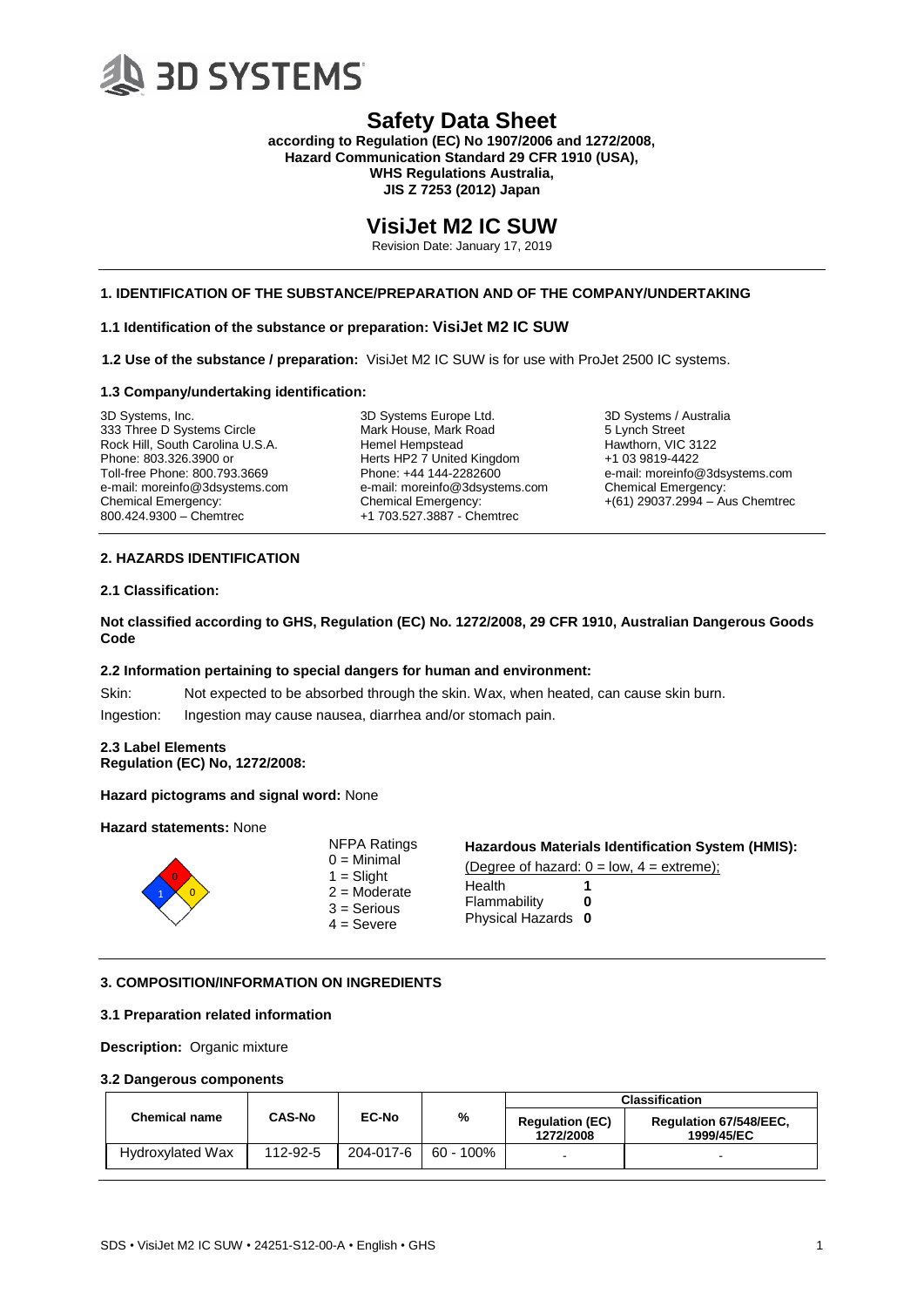

**according to Regulation (EC) No 1907/2006 and 1272/2008, Hazard Communication Standard 29 CFR 1910 (USA), WHS Regulations Australia, JIS Z 7253 (2012) Japan**

# **VisiJet M2 IC SUW**

Revision Date: January 17, 2019

# **1. IDENTIFICATION OF THE SUBSTANCE/PREPARATION AND OF THE COMPANY/UNDERTAKING**

# **1.1 Identification of the substance or preparation: VisiJet M2 IC SUW**

**1.2 Use of the substance / preparation:** VisiJet M2 IC SUW is for use with ProJet 2500 IC systems.

#### **1.3 Company/undertaking identification:**

3D Systems, Inc. 333 Three D Systems Circle Rock Hill, South Carolina U.S.A. Phone: 803.326.3900 or Toll-free Phone: 800.793.3669 e-mail: moreinfo@3dsystems.com Chemical Emergency: 800.424.9300 – Chemtrec

3D Systems Europe Ltd. Mark House, Mark Road Hemel Hempstead Herts HP2 7 United Kingdom Phone: +44 144-2282600 e-mail: moreinfo@3dsystems.com Chemical Emergency: +1 703.527.3887 - Chemtrec

3D Systems / Australia 5 Lynch Street Hawthorn, VIC 3122 +1 03 9819-4422 e-mail: moreinfo@3dsystems.com Chemical Emergency: +(61) 29037.2994 – Aus Chemtrec

# **2. HAZARDS IDENTIFICATION**

# **2.1 Classification:**

**Not classified according to GHS, Regulation (EC) No. 1272/2008, 29 CFR 1910, Australian Dangerous Goods Code**

### **2.2 Information pertaining to special dangers for human and environment:**

Skin: Not expected to be absorbed through the skin. Wax, when heated, can cause skin burn.

Ingestion: Ingestion may cause nausea, diarrhea and/or stomach pain.

#### **2.3 Label Elements Regulation (EC) No, 1272/2008:**

### **Hazard pictograms and signal word:** None

#### **Hazard statements:** None



NFPA Ratings  $0 =$ Minimal  $1 =$ Slight  $2 =$ Moderate 3 = Serious  $4 =$  Severe

#### **Hazardous Materials Identification System (HMIS):**

(Degree of hazard:  $0 = low$ ,  $4 =$  extreme);

| Health           |    |
|------------------|----|
| Flammability     | Ω  |
| Physical Hazards | -0 |

# **3. COMPOSITION/INFORMATION ON INGREDIENTS**

#### **3.1 Preparation related information**

**Description:** Organic mixture

# **3.2 Dangerous components**

|                         |               |              |              | <b>Classification</b>               |                                      |
|-------------------------|---------------|--------------|--------------|-------------------------------------|--------------------------------------|
| <b>Chemical name</b>    | <b>CAS-No</b> | <b>EC-No</b> | %            | <b>Regulation (EC)</b><br>1272/2008 | Regulation 67/548/EEC.<br>1999/45/EC |
| <b>Hydroxylated Wax</b> | 112-92-5      | 204-017-6    | $60 - 100\%$ |                                     | $\sim$                               |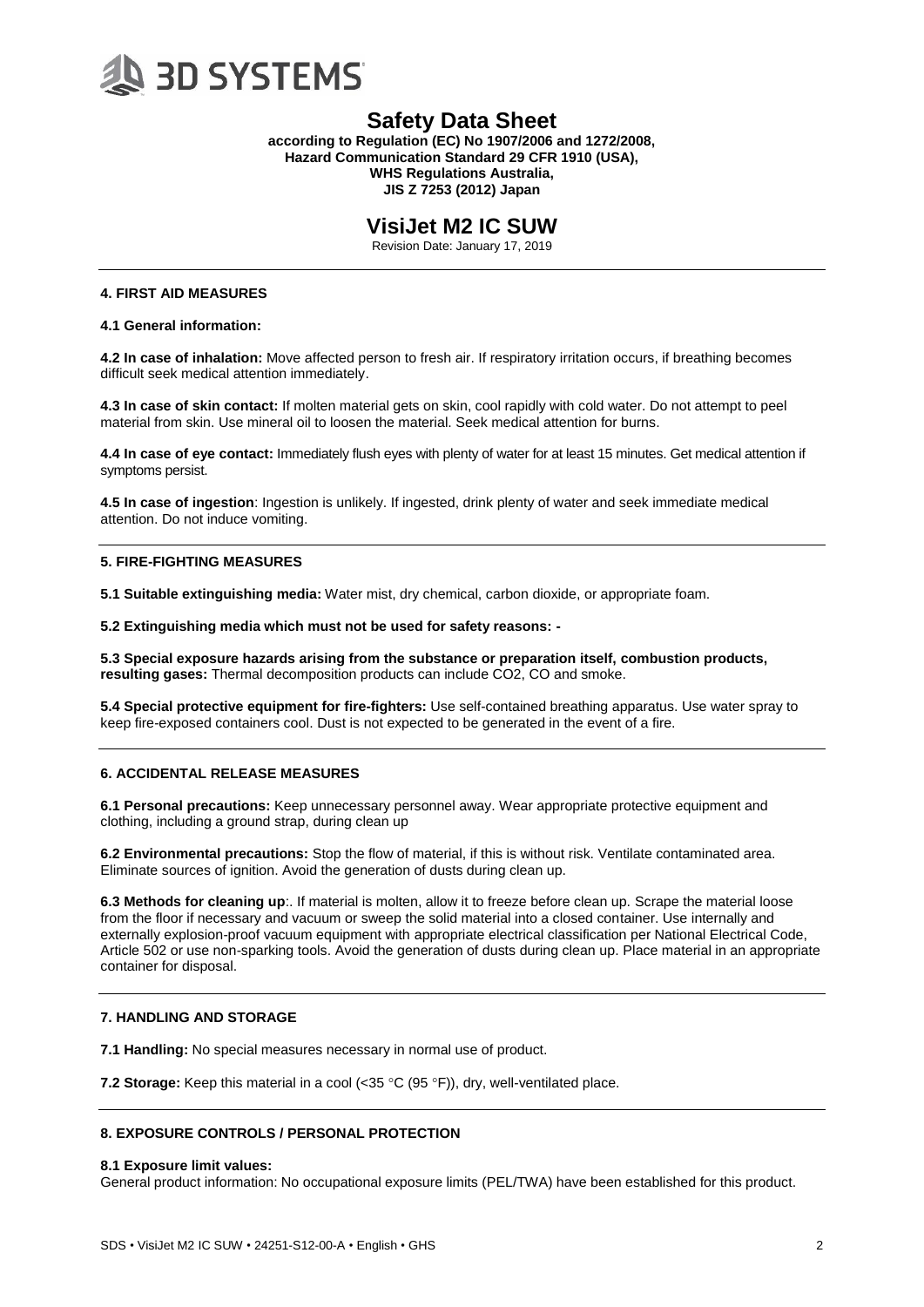

**according to Regulation (EC) No 1907/2006 and 1272/2008, Hazard Communication Standard 29 CFR 1910 (USA), WHS Regulations Australia, JIS Z 7253 (2012) Japan**

# **VisiJet M2 IC SUW**

Revision Date: January 17, 2019

# **4. FIRST AID MEASURES**

**4.1 General information:**

**4.2 In case of inhalation:** Move affected person to fresh air. If respiratory irritation occurs, if breathing becomes difficult seek medical attention immediately.

**4.3 In case of skin contact:** If molten material gets on skin, cool rapidly with cold water. Do not attempt to peel material from skin. Use mineral oil to loosen the material. Seek medical attention for burns.

**4.4 In case of eye contact:** Immediately flush eyes with plenty of water for at least 15 minutes. Get medical attention if symptoms persist.

**4.5 In case of ingestion**: Ingestion is unlikely. If ingested, drink plenty of water and seek immediate medical attention. Do not induce vomiting.

### **5. FIRE-FIGHTING MEASURES**

**5.1 Suitable extinguishing media:** Water mist, dry chemical, carbon dioxide, or appropriate foam.

**5.2 Extinguishing media which must not be used for safety reasons: -**

**5.3 Special exposure hazards arising from the substance or preparation itself, combustion products, resulting gases:** Thermal decomposition products can include CO2, CO and smoke.

**5.4 Special protective equipment for fire-fighters:** Use self-contained breathing apparatus. Use water spray to keep fire-exposed containers cool. Dust is not expected to be generated in the event of a fire.

# **6. ACCIDENTAL RELEASE MEASURES**

**6.1 Personal precautions:** Keep unnecessary personnel away. Wear appropriate protective equipment and clothing, including a ground strap, during clean up

**6.2 Environmental precautions:** Stop the flow of material, if this is without risk. Ventilate contaminated area. Eliminate sources of ignition. Avoid the generation of dusts during clean up.

**6.3 Methods for cleaning up**:. If material is molten, allow it to freeze before clean up. Scrape the material loose from the floor if necessary and vacuum or sweep the solid material into a closed container. Use internally and externally explosion-proof vacuum equipment with appropriate electrical classification per National Electrical Code, Article 502 or use non-sparking tools. Avoid the generation of dusts during clean up. Place material in an appropriate container for disposal.

# **7. HANDLING AND STORAGE**

**7.1 Handling:** No special measures necessary in normal use of product.

**7.2 Storage:** Keep this material in a cool (<35 °C (95 °F)), dry, well-ventilated place.

# **8. EXPOSURE CONTROLS / PERSONAL PROTECTION**

### **8.1 Exposure limit values:**

General product information: No occupational exposure limits (PEL/TWA) have been established for this product.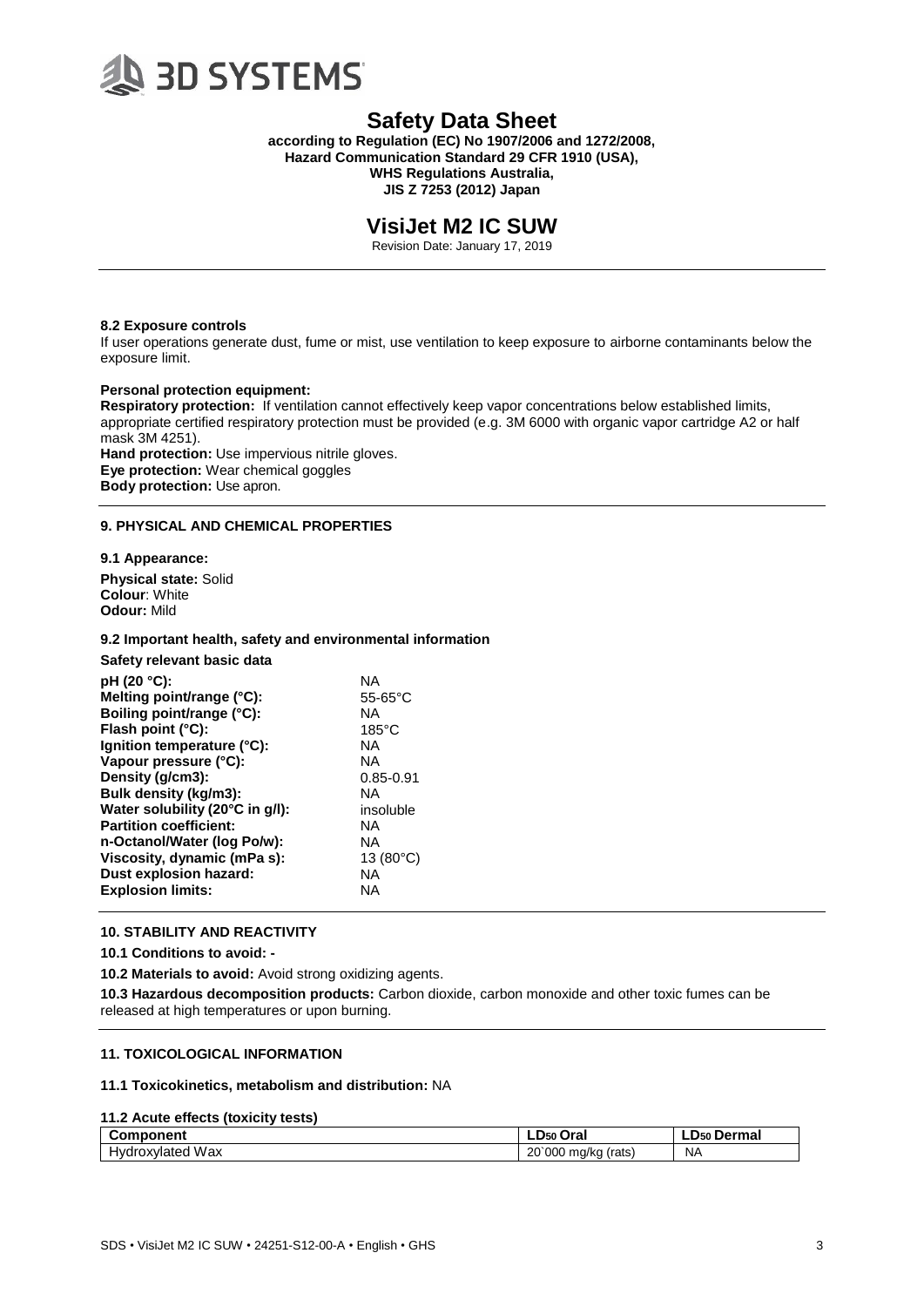

**according to Regulation (EC) No 1907/2006 and 1272/2008, Hazard Communication Standard 29 CFR 1910 (USA), WHS Regulations Australia,**

**JIS Z 7253 (2012) Japan**

# **VisiJet M2 IC SUW**

Revision Date: January 17, 2019

#### **8.2 Exposure controls**

If user operations generate dust, fume or mist, use ventilation to keep exposure to airborne contaminants below the exposure limit.

#### **Personal protection equipment:**

**Respiratory protection:** If ventilation cannot effectively keep vapor concentrations below established limits, appropriate certified respiratory protection must be provided (e.g. 3M 6000 with organic vapor cartridge A2 or half mask 3M 4251).

**Hand protection:** Use impervious nitrile gloves. **Eye protection:** Wear chemical goggles **Body protection:** Use apron.

# **9. PHYSICAL AND CHEMICAL PROPERTIES**

### **9.1 Appearance:**

**Physical state:** Solid **Colour**: White **Odour:** Mild

#### **9.2 Important health, safety and environmental information**

**Safety relevant basic data**

| pH (20 °C):<br>Melting point/range (°C):<br>Boiling point/range (°C):<br>Flash point (°C):<br>Ignition temperature (°C):<br>Vapour pressure (°C):<br>Density (g/cm3):<br>Bulk density (kg/m3):<br>Water solubility (20°C in g/l):<br><b>Partition coefficient:</b><br>n-Octanol/Water (log Po/w):<br>Viscosity, dynamic (mPa s): | ΝA<br>$55-65$ °C<br>ΝA<br>$185^{\circ}$ C<br>ΝA<br>ΝA<br>$0.85 - 0.91$<br>ΝA<br>insoluble<br>NA<br>ΝA<br>13 $(80^{\circ}C)$<br>ΝA |
|----------------------------------------------------------------------------------------------------------------------------------------------------------------------------------------------------------------------------------------------------------------------------------------------------------------------------------|-----------------------------------------------------------------------------------------------------------------------------------|
| Dust explosion hazard:<br><b>Explosion limits:</b>                                                                                                                                                                                                                                                                               | ΝA                                                                                                                                |
|                                                                                                                                                                                                                                                                                                                                  |                                                                                                                                   |

### **10. STABILITY AND REACTIVITY**

**10.1 Conditions to avoid: -**

**10.2 Materials to avoid:** Avoid strong oxidizing agents.

**10.3 Hazardous decomposition products:** Carbon dioxide, carbon monoxide and other toxic fumes can be released at high temperatures or upon burning.

### **11. TOXICOLOGICAL INFORMATION**

#### **11.1 Toxicokinetics, metabolism and distribution:** NA

### **11.2 Acute effects (toxicity tests)**

| Component               | Oral<br>$\mathsf{\_}$ D <sub>50</sub> $\mathsf{\_}$ | LD <sub>50</sub> Dermal |
|-------------------------|-----------------------------------------------------|-------------------------|
| <b>Hydroxylated Wax</b> | 20`000<br>rats)<br>ma/ka                            | <b>NA</b>               |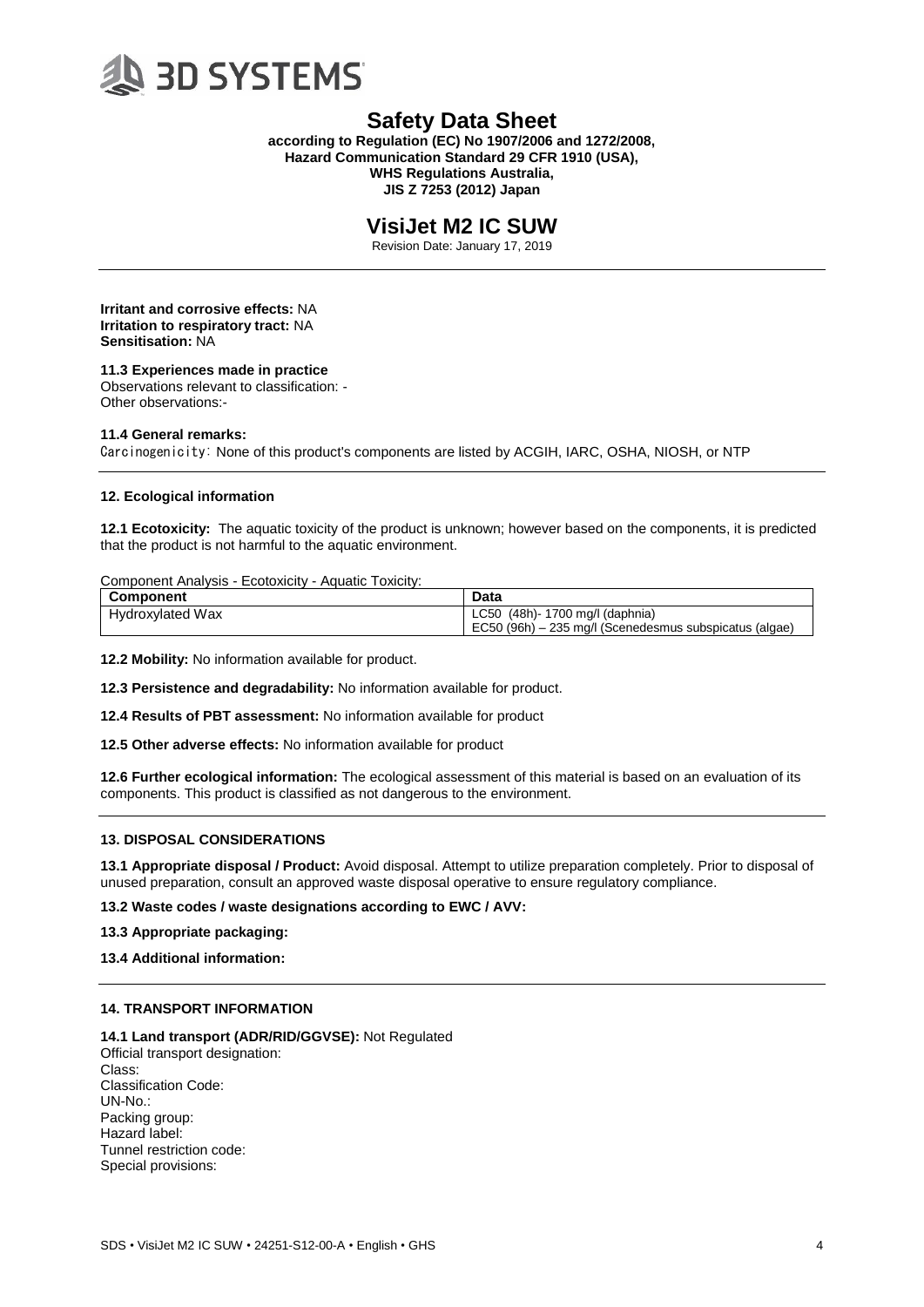

**according to Regulation (EC) No 1907/2006 and 1272/2008, Hazard Communication Standard 29 CFR 1910 (USA), WHS Regulations Australia, JIS Z 7253 (2012) Japan**

# **VisiJet M2 IC SUW**

Revision Date: January 17, 2019

**Irritant and corrosive effects:** NA **Irritation to respiratory tract:** NA **Sensitisation:** NA

# **11.3 Experiences made in practice**

Observations relevant to classification: - Other observations:-

#### **11.4 General remarks:**

Carcinogenicity: None of this product's components are listed by ACGIH, IARC, OSHA, NIOSH, or NTP

### **12. Ecological information**

**12.1 Ecotoxicity:** The aquatic toxicity of the product is unknown; however based on the components, it is predicted that the product is not harmful to the aquatic environment.

#### Component Analysis - Ecotoxicity - Aquatic Toxicity:

| Component               | Data                                                   |
|-------------------------|--------------------------------------------------------|
| <b>Hydroxylated Wax</b> | LC50 (48h) - 1700 mg/l (daphnia)                       |
|                         | EC50 (96h) – 235 mg/l (Scenedesmus subspicatus (algae) |

**12.2 Mobility:** No information available for product.

**12.3 Persistence and degradability:** No information available for product.

**12.4 Results of PBT assessment:** No information available for product

**12.5 Other adverse effects:** No information available for product

**12.6 Further ecological information:** The ecological assessment of this material is based on an evaluation of its components. This product is classified as not dangerous to the environment.

### **13. DISPOSAL CONSIDERATIONS**

**13.1 Appropriate disposal / Product:** Avoid disposal. Attempt to utilize preparation completely. Prior to disposal of unused preparation, consult an approved waste disposal operative to ensure regulatory compliance.

**13.2 Waste codes / waste designations according to EWC / AVV:**

**13.3 Appropriate packaging:**

### **13.4 Additional information:**

# **14. TRANSPORT INFORMATION**

**14.1 Land transport (ADR/RID/GGVSE):** Not Regulated Official transport designation: Class: Classification Code: UN-No.: Packing group: Hazard label: Tunnel restriction code: Special provisions: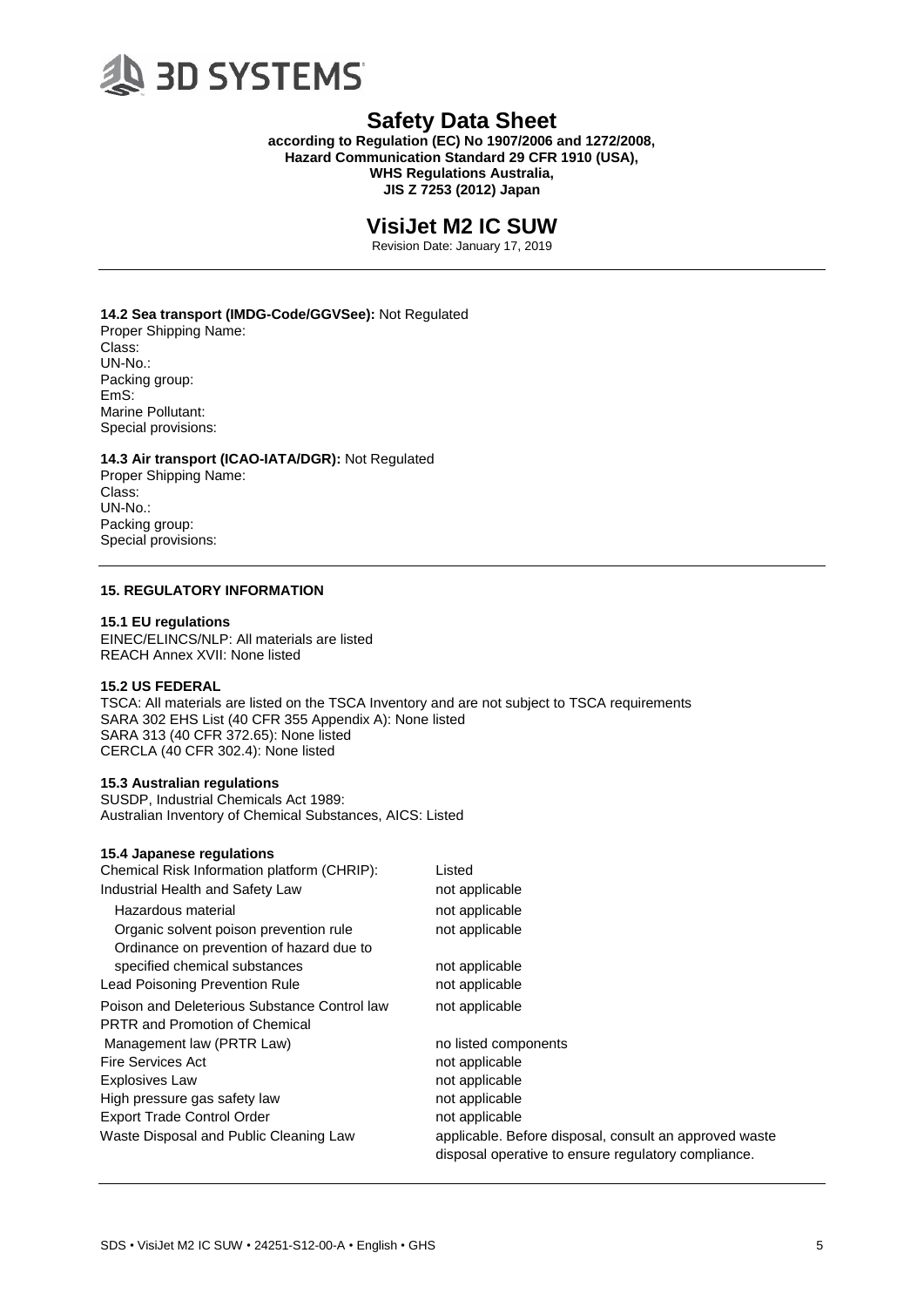

**according to Regulation (EC) No 1907/2006 and 1272/2008, Hazard Communication Standard 29 CFR 1910 (USA), WHS Regulations Australia, JIS Z 7253 (2012) Japan**

# **VisiJet M2 IC SUW**

Revision Date: January 17, 2019

**14.2 Sea transport (IMDG-Code/GGVSee):** Not Regulated Proper Shipping Name: Class: UN-No.: Packing group: EmS: Marine Pollutant: Special provisions:

**14.3 Air transport (ICAO-IATA/DGR):** Not Regulated Proper Shipping Name:

Class: UN-No.: Packing group: Special provisions:

# **15. REGULATORY INFORMATION**

#### **15.1 EU regulations**

EINEC/ELINCS/NLP: All materials are listed REACH Annex XVII: None listed

# **15.2 US FEDERAL**

TSCA: All materials are listed on the TSCA Inventory and are not subject to TSCA requirements SARA 302 EHS List (40 CFR 355 Appendix A): None listed SARA 313 (40 CFR 372.65): None listed CERCLA (40 CFR 302.4): None listed

### **15.3 Australian regulations**

SUSDP, Industrial Chemicals Act 1989: Australian Inventory of Chemical Substances, AICS: Listed

#### **15.4 Japanese regulations**

| Chemical Risk Information platform (CHRIP):  | Listed                                                                                                        |
|----------------------------------------------|---------------------------------------------------------------------------------------------------------------|
| Industrial Health and Safety Law             | not applicable                                                                                                |
| Hazardous material                           | not applicable                                                                                                |
| Organic solvent poison prevention rule       | not applicable                                                                                                |
| Ordinance on prevention of hazard due to     |                                                                                                               |
| specified chemical substances                | not applicable                                                                                                |
| Lead Poisoning Prevention Rule               | not applicable                                                                                                |
| Poison and Deleterious Substance Control law | not applicable                                                                                                |
| <b>PRTR and Promotion of Chemical</b>        |                                                                                                               |
| Management law (PRTR Law)                    | no listed components                                                                                          |
| <b>Fire Services Act</b>                     | not applicable                                                                                                |
| <b>Explosives Law</b>                        | not applicable                                                                                                |
| High pressure gas safety law                 | not applicable                                                                                                |
| <b>Export Trade Control Order</b>            | not applicable                                                                                                |
| Waste Disposal and Public Cleaning Law       | applicable. Before disposal, consult an approved waste<br>disposal operative to ensure regulatory compliance. |